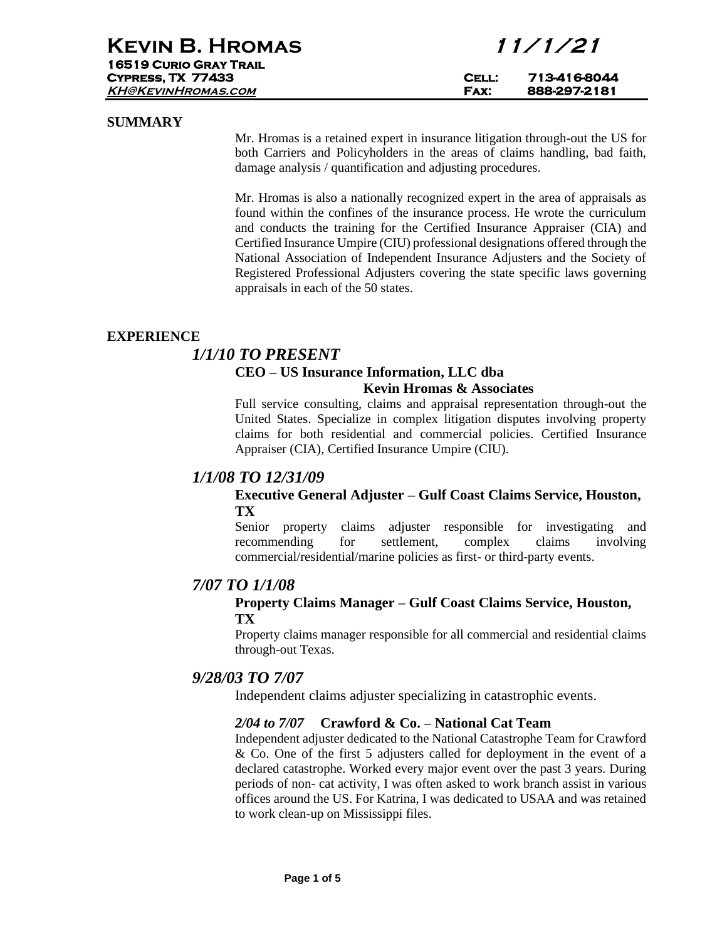## **SUMMARY**

Mr. Hromas is a retained expert in insurance litigation through-out the US for both Carriers and Policyholders in the areas of claims handling, bad faith, damage analysis / quantification and adjusting procedures.

Mr. Hromas is also a nationally recognized expert in the area of appraisals as found within the confines of the insurance process. He wrote the curriculum and conducts the training for the Certified Insurance Appraiser (CIA) and Certified Insurance Umpire (CIU) professional designations offered through the National Association of Independent Insurance Adjusters and the Society of Registered Professional Adjusters covering the state specific laws governing appraisals in each of the 50 states.

## **EXPERIENCE**

## *1/1/10 TO PRESENT*

# **CEO – US Insurance Information, LLC dba**

### **Kevin Hromas & Associates**

Full service consulting, claims and appraisal representation through-out the United States. Specialize in complex litigation disputes involving property claims for both residential and commercial policies. Certified Insurance Appraiser (CIA), Certified Insurance Umpire (CIU).

# *1/1/08 TO 12/31/09*

## **Executive General Adjuster – Gulf Coast Claims Service, Houston, TX**

Senior property claims adjuster responsible for investigating and recommending for settlement, complex claims involving commercial/residential/marine policies as first- or third-party events.

# *7/07 TO 1/1/08*

## **Property Claims Manager – Gulf Coast Claims Service, Houston, TX**

Property claims manager responsible for all commercial and residential claims through-out Texas.

# *9/28/03 TO 7/07*

Independent claims adjuster specializing in catastrophic events.

## *2/04 to 7/07* **Crawford & Co. – National Cat Team**

Independent adjuster dedicated to the National Catastrophe Team for Crawford & Co. One of the first 5 adjusters called for deployment in the event of a declared catastrophe. Worked every major event over the past 3 years. During periods of non- cat activity, I was often asked to work branch assist in various offices around the US. For Katrina, I was dedicated to USAA and was retained to work clean-up on Mississippi files.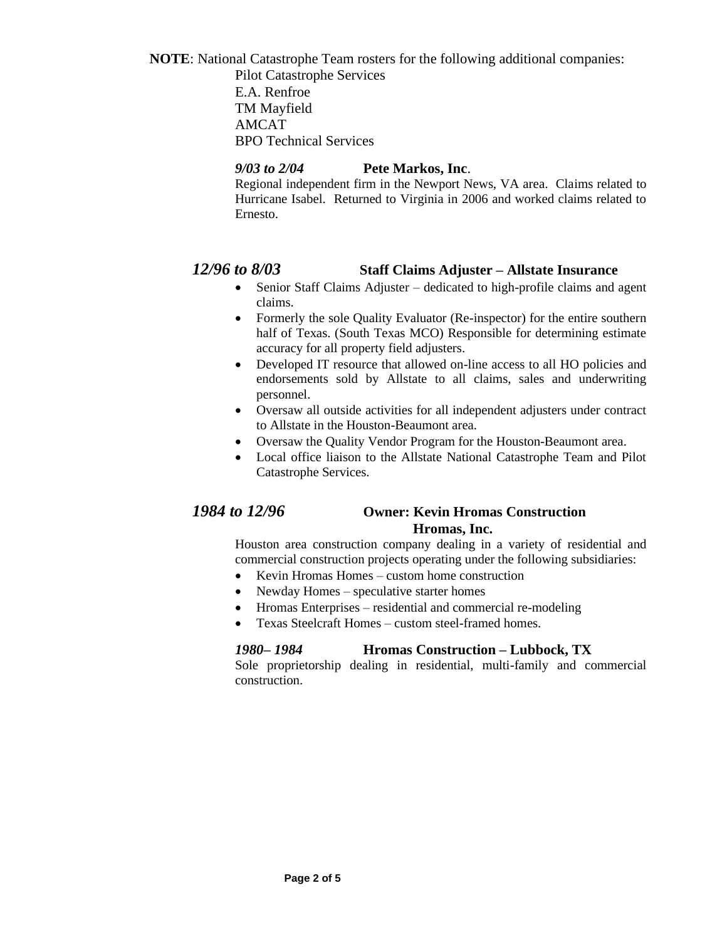**NOTE**: National Catastrophe Team rosters for the following additional companies: Pilot Catastrophe Services

E.A. Renfroe TM Mayfield AMCAT BPO Technical Services

# *9/03 to 2/04* **Pete Markos, Inc**.

Regional independent firm in the Newport News, VA area. Claims related to Hurricane Isabel. Returned to Virginia in 2006 and worked claims related to Ernesto.

# *12/96 to 8/03* **Staff Claims Adjuster – Allstate Insurance**

- Senior Staff Claims Adjuster dedicated to high-profile claims and agent claims.
- Formerly the sole Quality Evaluator (Re-inspector) for the entire southern half of Texas. (South Texas MCO) Responsible for determining estimate accuracy for all property field adjusters.
- Developed IT resource that allowed on-line access to all HO policies and endorsements sold by Allstate to all claims, sales and underwriting personnel.
- Oversaw all outside activities for all independent adjusters under contract to Allstate in the Houston-Beaumont area.
- Oversaw the Quality Vendor Program for the Houston-Beaumont area.
- Local office liaison to the Allstate National Catastrophe Team and Pilot Catastrophe Services.

# *1984 to 12/96* **Owner: Kevin Hromas Construction Hromas, Inc.**

Houston area construction company dealing in a variety of residential and commercial construction projects operating under the following subsidiaries:

- Kevin Hromas Homes custom home construction
- Newday Homes speculative starter homes
- Hromas Enterprises residential and commercial re-modeling
- Texas Steelcraft Homes custom steel-framed homes.

# *1980– 1984* **Hromas Construction – Lubbock, TX**

Sole proprietorship dealing in residential, multi-family and commercial construction.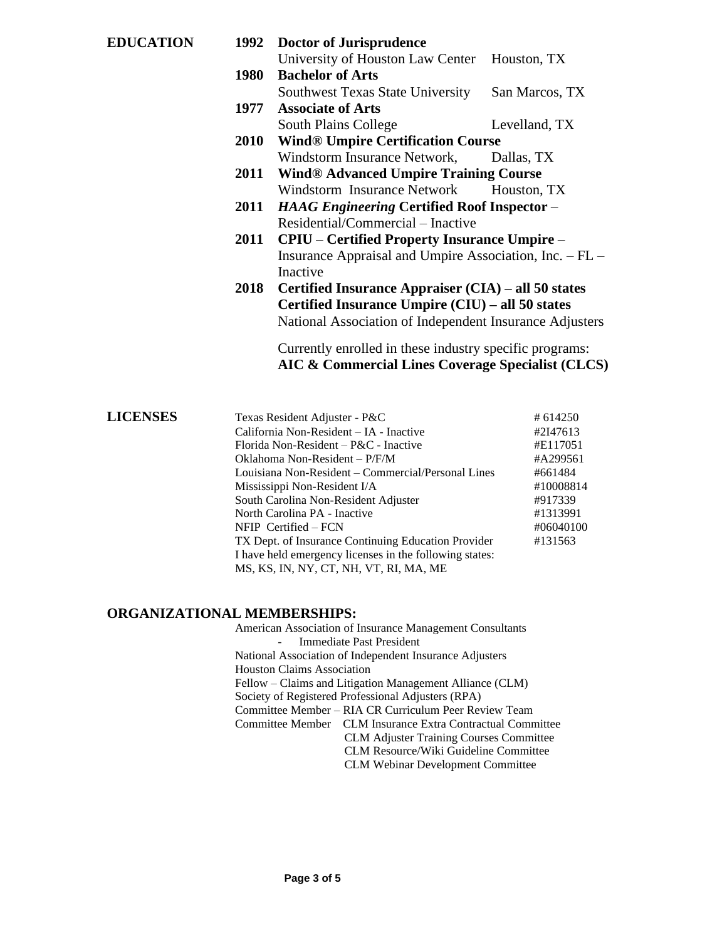|                                                         | San Marcos, TX                                                                                                                                                                                                                                                          |  |
|---------------------------------------------------------|-------------------------------------------------------------------------------------------------------------------------------------------------------------------------------------------------------------------------------------------------------------------------|--|
| <b>Associate of Arts</b>                                |                                                                                                                                                                                                                                                                         |  |
|                                                         | Levelland, TX                                                                                                                                                                                                                                                           |  |
| <b>Wind® Umpire Certification Course</b>                |                                                                                                                                                                                                                                                                         |  |
| Windstorm Insurance Network,                            | Dallas, TX                                                                                                                                                                                                                                                              |  |
| 2011 Wind® Advanced Umpire Training Course              |                                                                                                                                                                                                                                                                         |  |
| Windstorm Insurance Network                             | Houston, TX                                                                                                                                                                                                                                                             |  |
| 2011 HAAG Engineering Certified Roof Inspector -        |                                                                                                                                                                                                                                                                         |  |
| Residential/Commercial – Inactive                       |                                                                                                                                                                                                                                                                         |  |
| <b>CPIU</b> – Certified Property Insurance Umpire –     |                                                                                                                                                                                                                                                                         |  |
| Insurance Appraisal and Umpire Association, Inc. - FL - |                                                                                                                                                                                                                                                                         |  |
| Inactive                                                |                                                                                                                                                                                                                                                                         |  |
| Certified Insurance Appraiser (CIA) – all 50 states     |                                                                                                                                                                                                                                                                         |  |
| Certified Insurance Umpire (CIU) – all 50 states        |                                                                                                                                                                                                                                                                         |  |
| National Association of Independent Insurance Adjusters |                                                                                                                                                                                                                                                                         |  |
| Currently enrolled in these industry specific programs: |                                                                                                                                                                                                                                                                         |  |
|                                                         |                                                                                                                                                                                                                                                                         |  |
|                                                         |                                                                                                                                                                                                                                                                         |  |
|                                                         | 1992 Doctor of Jurisprudence<br>University of Houston Law Center Houston, TX<br><b>Bachelor of Arts</b><br>1980<br>Southwest Texas State University<br>1977<br>South Plains College<br><b>2010</b><br>2011<br>2018<br>AIC & Commercial Lines Coverage Specialist (CLCS) |  |

| <b>LICENSES</b> | Texas Resident Adjuster - P&C                           | # 614250  |
|-----------------|---------------------------------------------------------|-----------|
|                 | California Non-Resident – IA - Inactive                 | #2I47613  |
|                 | Florida Non-Resident – $P\&C$ - Inactive                | #E117051  |
|                 | Oklahoma Non-Resident $-P/F/M$                          | #A299561  |
|                 | Louisiana Non-Resident – Commercial/Personal Lines      | #661484   |
|                 | Mississippi Non-Resident I/A                            | #10008814 |
|                 | South Carolina Non-Resident Adjuster                    | #917339   |
|                 | North Carolina PA - Inactive                            | #1313991  |
|                 | $N$ FIP Certified – FCN                                 | #06040100 |
|                 | TX Dept. of Insurance Continuing Education Provider     | #131563   |
|                 | I have held emergency licenses in the following states: |           |
|                 | MS, KS, IN, NY, CT, NH, VT, RI, MA, ME                  |           |

# **ORGANIZATIONAL MEMBERSHIPS:**

| American Association of Insurance Management Consultants   |  |  |
|------------------------------------------------------------|--|--|
| Immediate Past President                                   |  |  |
| National Association of Independent Insurance Adjusters    |  |  |
| <b>Houston Claims Association</b>                          |  |  |
| Fellow – Claims and Litigation Management Alliance (CLM)   |  |  |
| Society of Registered Professional Adjusters (RPA)         |  |  |
| Committee Member – RIA CR Curriculum Peer Review Team      |  |  |
| Committee Member CLM Insurance Extra Contractual Committee |  |  |
| <b>CLM Adjuster Training Courses Committee</b>             |  |  |
| CLM Resource/Wiki Guideline Committee                      |  |  |
| <b>CLM Webinar Development Committee</b>                   |  |  |
|                                                            |  |  |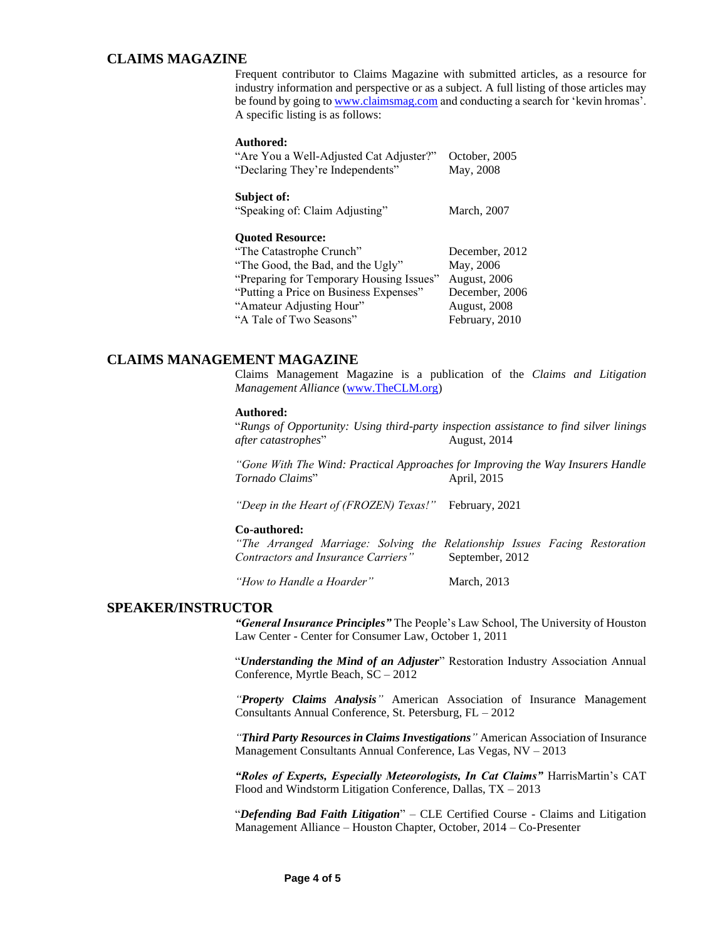### **CLAIMS MAGAZINE**

Frequent contributor to Claims Magazine with submitted articles, as a resource for industry information and perspective or as a subject. A full listing of those articles may be found by going t[o www.claimsmag.com](http://www.claimsmag.com/) and conducting a search for 'kevin hromas'. A specific listing is as follows:

#### **Authored:**

| "Are You a Well-Adjusted Cat Adjuster?"<br>"Declaring They're Independents" | October, 2005<br>May, 2008 |
|-----------------------------------------------------------------------------|----------------------------|
| Subject of:<br>"Speaking of: Claim Adjusting"                               | March, 2007                |
| <b>Quoted Resource:</b>                                                     |                            |
| "The Catastrophe Crunch"                                                    | December, 2012             |
| "The Good, the Bad, and the Ugly"                                           | May, 2006                  |
| "Preparing for Temporary Housing Issues"                                    | August, 2006               |
| "Putting a Price on Business Expenses"                                      | December, 2006             |
| "Amateur Adjusting Hour"                                                    | August, 2008               |
| "A Tale of Two Seasons"                                                     | February, 2010             |

### **CLAIMS MANAGEMENT MAGAZINE**

Claims Management Magazine is a publication of the *Claims and Litigation Management Alliance* [\(www.TheCLM.org\)](http://www.theclm.org/)

#### **Authored:**

"*Rungs of Opportunity: Using third-party inspection assistance to find silver linings after catastrophes*" August, 2014

*"Gone With The Wind: Practical Approaches for Improving the Way Insurers Handle Tornado Claims*" April, 2015

*"Deep in the Heart of (FROZEN) Texas!"* February, 2021

#### **Co-authored:**

*"The Arranged Marriage: Solving the Relationship Issues Facing Restoration Contractors and Insurance Carriers"* September, 2012

*"How to Handle a Hoarder"* March, 2013

### **SPEAKER/INSTRUCTOR**

*"General Insurance Principles"* The People's Law School, The University of Houston Law Center - Center for Consumer Law, October 1, 2011

"*Understanding the Mind of an Adjuster*" Restoration Industry Association Annual Conference, Myrtle Beach, SC – 2012

*"Property Claims Analysis"* American Association of Insurance Management Consultants Annual Conference, St. Petersburg, FL – 2012

*"Third Party Resources in Claims Investigations"* American Association of Insurance Management Consultants Annual Conference, Las Vegas, NV – 2013

*"Roles of Experts, Especially Meteorologists, In Cat Claims"* HarrisMartin's CAT Flood and Windstorm Litigation Conference, Dallas, TX – 2013

"*Defending Bad Faith Litigation*" – CLE Certified Course - Claims and Litigation Management Alliance – Houston Chapter, October, 2014 – Co-Presenter